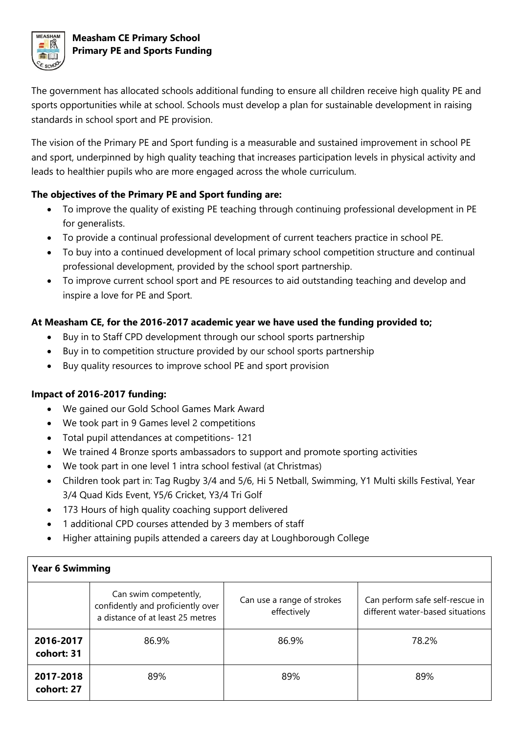

# **Measham CE Primary School Primary PE and Sports Funding**

The government has allocated schools additional funding to ensure all children receive high quality PE and sports opportunities while at school. Schools must develop a plan for sustainable development in raising standards in school sport and PE provision.

The vision of the Primary PE and Sport funding is a measurable and sustained improvement in school PE and sport, underpinned by high quality teaching that increases participation levels in physical activity and leads to healthier pupils who are more engaged across the whole curriculum.

### **The objectives of the Primary PE and Sport funding are:**

- To improve the quality of existing PE teaching through continuing professional development in PE for generalists.
- To provide a continual professional development of current teachers practice in school PE.
- To buy into a continued development of local primary school competition structure and continual professional development, provided by the school sport partnership.
- To improve current school sport and PE resources to aid outstanding teaching and develop and inspire a love for PE and Sport.

### **At Measham CE, for the 2016-2017 academic year we have used the funding provided to;**

- Buy in to Staff CPD development through our school sports partnership
- Buy in to competition structure provided by our school sports partnership
- Buy quality resources to improve school PE and sport provision

# **Impact of 2016-2017 funding:**

- We gained our Gold School Games Mark Award
- We took part in 9 Games level 2 competitions
- Total pupil attendances at competitions- 121
- We trained 4 Bronze sports ambassadors to support and promote sporting activities
- We took part in one level 1 intra school festival (at Christmas)
- Children took part in: Tag Rugby 3/4 and 5/6, Hi 5 Netball, Swimming, Y1 Multi skills Festival, Year 3/4 Quad Kids Event, Y5/6 Cricket, Y3/4 Tri Golf
- 173 Hours of high quality coaching support delivered
- 1 additional CPD courses attended by 3 members of staff
- Higher attaining pupils attended a careers day at Loughborough College

| <b>Year 6 Swimming</b>  |                                                                                                |                                           |                                                                     |  |
|-------------------------|------------------------------------------------------------------------------------------------|-------------------------------------------|---------------------------------------------------------------------|--|
|                         | Can swim competently,<br>confidently and proficiently over<br>a distance of at least 25 metres | Can use a range of strokes<br>effectively | Can perform safe self-rescue in<br>different water-based situations |  |
| 2016-2017<br>cohort: 31 | 86.9%                                                                                          | 86.9%                                     | 78.2%                                                               |  |
| 2017-2018<br>cohort: 27 | 89%                                                                                            | 89%                                       | 89%                                                                 |  |